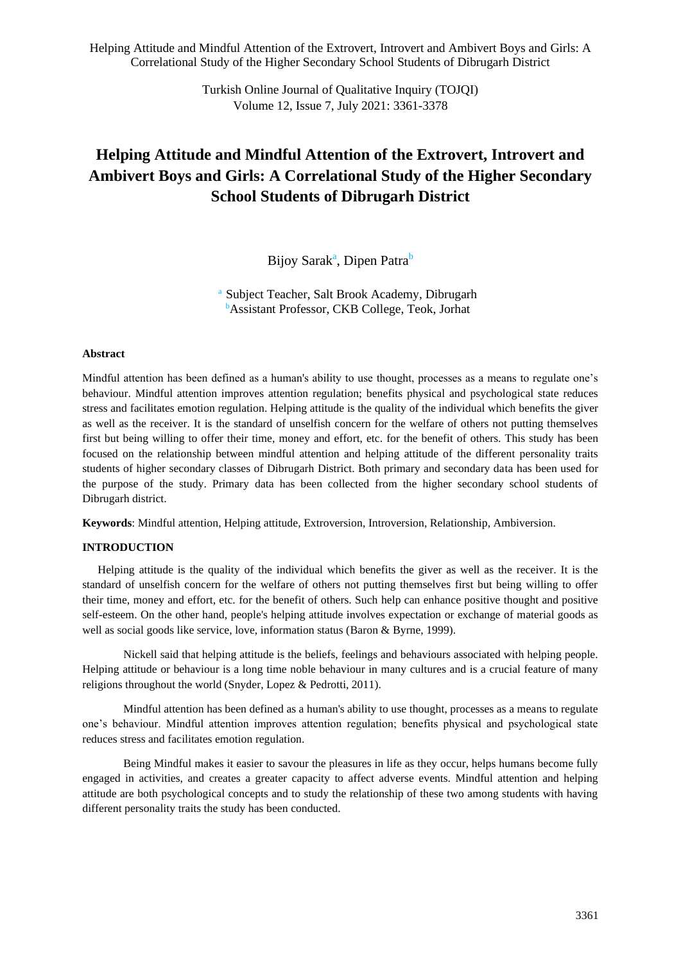> Turkish Online Journal of Qualitative Inquiry (TOJQI) Volume 12, Issue 7, July 2021: 3361-3378

# **Helping Attitude and Mindful Attention of the Extrovert, Introvert and Ambivert Boys and Girls: A Correlational Study of the Higher Secondary School Students of Dibrugarh District**

Bijoy Sarak<sup>a</sup>, Dipen Patra<sup>b</sup>

Subject Teacher, Salt Brook Academy, Dibrugarh <sup>b</sup>Assistant Professor, CKB College, Teok, Jorhat

#### **Abstract**

Mindful attention has been defined as a human's ability to use thought, processes as a means to regulate one's behaviour. Mindful attention improves attention regulation; benefits physical and psychological state reduces stress and facilitates emotion regulation. Helping attitude is the quality of the individual which benefits the giver as well as the receiver. It is the standard of unselfish concern for the welfare of others not putting themselves first but being willing to offer their time, money and effort, etc. for the benefit of others. This study has been focused on the relationship between mindful attention and helping attitude of the different personality traits students of higher secondary classes of Dibrugarh District. Both primary and secondary data has been used for the purpose of the study. Primary data has been collected from the higher secondary school students of Dibrugarh district.

**Keywords**: Mindful attention, Helping attitude, Extroversion, Introversion, Relationship, Ambiversion.

#### **INTRODUCTION**

Helping attitude is the quality of the individual which benefits the giver as well as the receiver. It is the standard of unselfish concern for the welfare of others not putting themselves first but being willing to offer their time, money and effort, etc. for the benefit of others. Such help can enhance positive thought and positive self-esteem. On the other hand, people's helping attitude involves expectation or exchange of material goods as well as social goods like service, love, information status (Baron & Byrne, 1999).

Nickell said that helping attitude is the beliefs, feelings and behaviours associated with helping people. Helping attitude or behaviour is a long time noble behaviour in many cultures and is a crucial feature of many religions throughout the world (Snyder, Lopez & Pedrotti, 2011).

Mindful attention has been defined as a human's ability to use thought, processes as a means to regulate one's behaviour. Mindful attention improves attention regulation; benefits physical and psychological state reduces stress and facilitates emotion regulation.

Being Mindful makes it easier to savour the pleasures in life as they occur, helps humans become fully engaged in activities, and creates a greater capacity to affect adverse events. Mindful attention and helping attitude are both psychological concepts and to study the relationship of these two among students with having different personality traits the study has been conducted.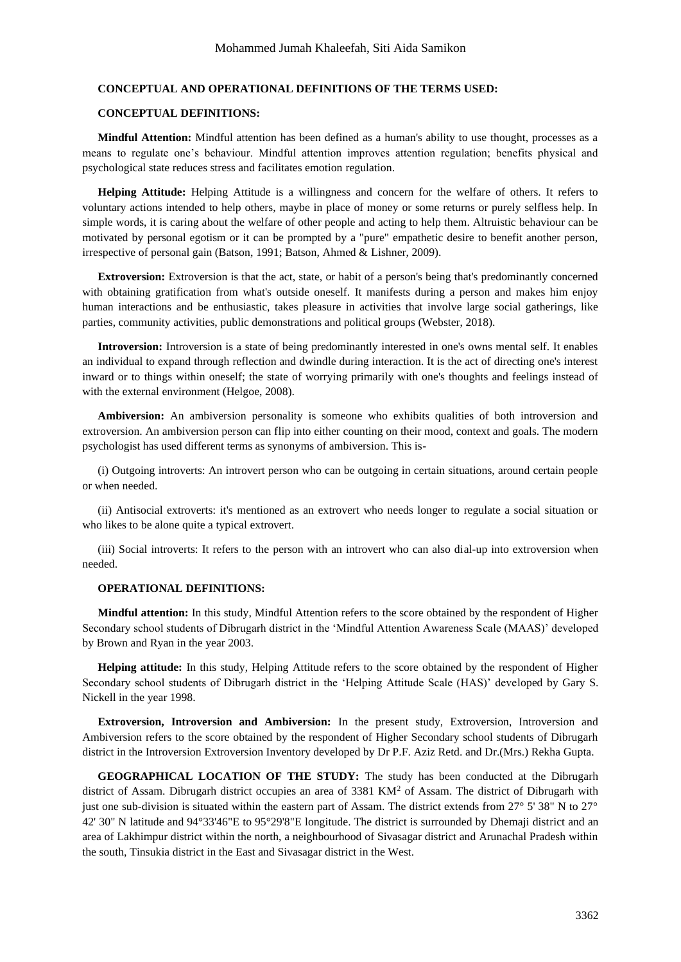#### **CONCEPTUAL AND OPERATIONAL DEFINITIONS OF THE TERMS USED:**

### **CONCEPTUAL DEFINITIONS:**

**Mindful Attention:** Mindful attention has been defined as a human's ability to use thought, processes as a means to regulate one's behaviour. Mindful attention improves attention regulation; benefits physical and psychological state reduces stress and facilitates emotion regulation.

**Helping Attitude:** Helping Attitude is a willingness and concern for the welfare of others. It refers to voluntary actions intended to help others, maybe in place of money or some returns or purely selfless help. In simple words, it is caring about the welfare of other people and acting to help them. Altruistic behaviour can be motivated by personal egotism or it can be prompted by a "pure" empathetic desire to benefit another person, irrespective of personal gain (Batson, 1991; Batson, Ahmed & Lishner, 2009).

**Extroversion:** Extroversion is that the act, state, or habit of a person's being that's predominantly concerned with obtaining gratification from what's outside oneself. It manifests during a person and makes him enjoy human interactions and be enthusiastic, takes pleasure in activities that involve large social gatherings, like parties, community activities, public demonstrations and political groups (Webster, 2018).

**Introversion:** Introversion is a state of being predominantly interested in one's owns mental self. It enables an individual to expand through reflection and dwindle during interaction. It is the act of directing one's interest inward or to things within oneself; the state of worrying primarily with one's thoughts and feelings instead of with the external environment (Helgoe, 2008).

**Ambiversion:** An ambiversion personality is someone who exhibits qualities of both introversion and extroversion. An ambiversion person can flip into either counting on their mood, context and goals. The modern psychologist has used different terms as synonyms of ambiversion. This is-

(i) Outgoing introverts: An introvert person who can be outgoing in certain situations, around certain people or when needed.

(ii) Antisocial extroverts: it's mentioned as an extrovert who needs longer to regulate a social situation or who likes to be alone quite a typical extrovert.

(iii) Social introverts: It refers to the person with an introvert who can also dial-up into extroversion when needed.

#### **OPERATIONAL DEFINITIONS:**

**Mindful attention:** In this study, Mindful Attention refers to the score obtained by the respondent of Higher Secondary school students of Dibrugarh district in the 'Mindful Attention Awareness Scale (MAAS)' developed by Brown and Ryan in the year 2003.

**Helping attitude:** In this study, Helping Attitude refers to the score obtained by the respondent of Higher Secondary school students of Dibrugarh district in the 'Helping Attitude Scale (HAS)' developed by Gary S. Nickell in the year 1998.

**Extroversion, Introversion and Ambiversion:** In the present study, Extroversion, Introversion and Ambiversion refers to the score obtained by the respondent of Higher Secondary school students of Dibrugarh district in the Introversion Extroversion Inventory developed by Dr P.F. Aziz Retd. and Dr.(Mrs.) Rekha Gupta.

**GEOGRAPHICAL LOCATION OF THE STUDY:** The study has been conducted at the Dibrugarh district of Assam. Dibrugarh district occupies an area of 3381 KM<sup>2</sup> of Assam. The district of Dibrugarh with just one sub-division is situated within the eastern part of Assam. The district extends from  $27^{\circ}$  5' 38" N to  $27^{\circ}$ 42' 30" N latitude and 94°33'46"E to 95°29'8"E longitude. The district is surrounded by Dhemaji district and an area of Lakhimpur district within the north, a neighbourhood of Sivasagar district and Arunachal Pradesh within the south, Tinsukia district in the East and Sivasagar district in the West.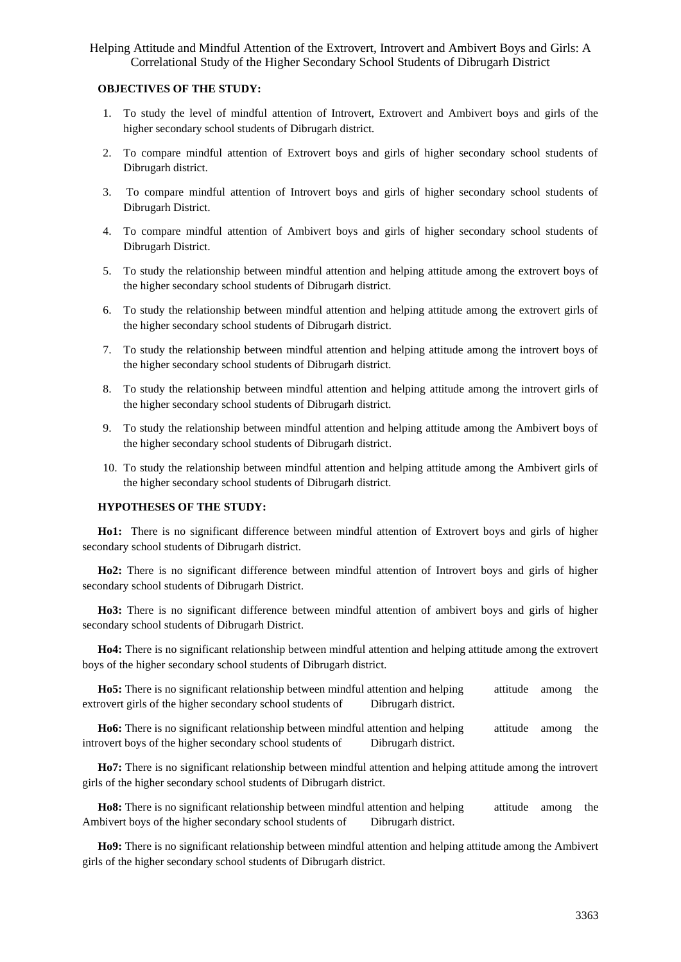#### **OBJECTIVES OF THE STUDY:**

- 1. To study the level of mindful attention of Introvert, Extrovert and Ambivert boys and girls of the higher secondary school students of Dibrugarh district.
- 2. To compare mindful attention of Extrovert boys and girls of higher secondary school students of Dibrugarh district.
- 3. To compare mindful attention of Introvert boys and girls of higher secondary school students of Dibrugarh District.
- 4. To compare mindful attention of Ambivert boys and girls of higher secondary school students of Dibrugarh District.
- 5. To study the relationship between mindful attention and helping attitude among the extrovert boys of the higher secondary school students of Dibrugarh district.
- 6. To study the relationship between mindful attention and helping attitude among the extrovert girls of the higher secondary school students of Dibrugarh district.
- 7. To study the relationship between mindful attention and helping attitude among the introvert boys of the higher secondary school students of Dibrugarh district.
- 8. To study the relationship between mindful attention and helping attitude among the introvert girls of the higher secondary school students of Dibrugarh district.
- 9. To study the relationship between mindful attention and helping attitude among the Ambivert boys of the higher secondary school students of Dibrugarh district.
- 10. To study the relationship between mindful attention and helping attitude among the Ambivert girls of the higher secondary school students of Dibrugarh district.

#### **HYPOTHESES OF THE STUDY:**

**Ho1:** There is no significant difference between mindful attention of Extrovert boys and girls of higher secondary school students of Dibrugarh district.

**Ho2:** There is no significant difference between mindful attention of Introvert boys and girls of higher secondary school students of Dibrugarh District.

**Ho3:** There is no significant difference between mindful attention of ambivert boys and girls of higher secondary school students of Dibrugarh District.

**Ho4:** There is no significant relationship between mindful attention and helping attitude among the extrovert boys of the higher secondary school students of Dibrugarh district.

**Ho5:** There is no significant relationship between mindful attention and helping attitude among the extrovert girls of the higher secondary school students of Dibrugarh district.

**Ho6:** There is no significant relationship between mindful attention and helping attitude among the introvert boys of the higher secondary school students of Dibrugarh district.

**Ho7:** There is no significant relationship between mindful attention and helping attitude among the introvert girls of the higher secondary school students of Dibrugarh district.

**Ho8:** There is no significant relationship between mindful attention and helping attitude among the Ambivert boys of the higher secondary school students of Dibrugarh district.

**Ho9:** There is no significant relationship between mindful attention and helping attitude among the Ambivert girls of the higher secondary school students of Dibrugarh district.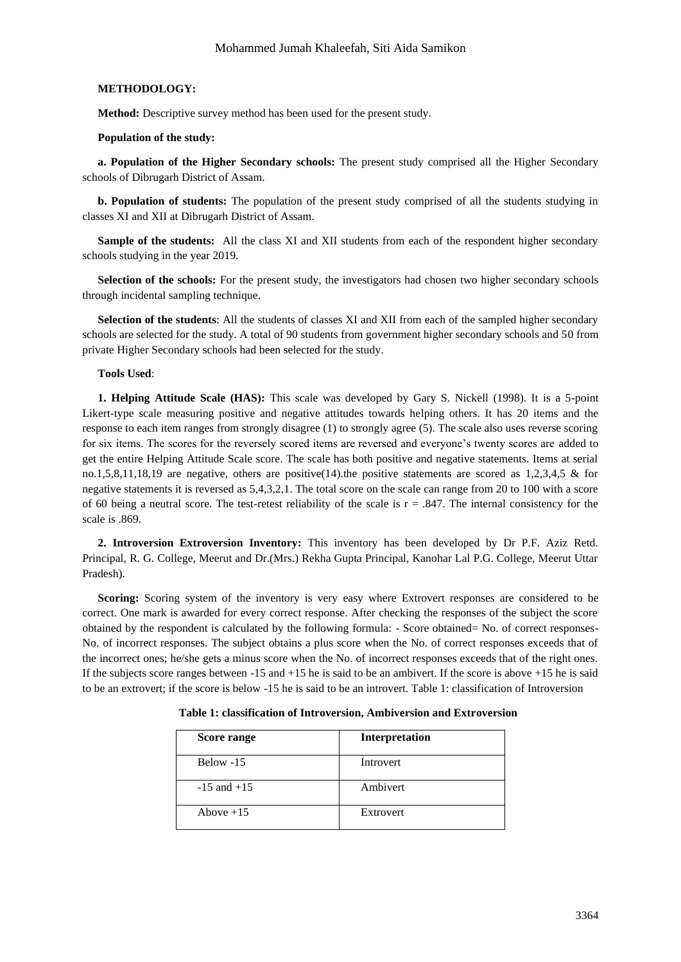#### **METHODOLOGY:**

**Method:** Descriptive survey method has been used for the present study.

#### **Population of the study:**

**a. Population of the Higher Secondary schools:** The present study comprised all the Higher Secondary schools of Dibrugarh District of Assam.

**b. Population of students:** The population of the present study comprised of all the students studying in classes XI and XII at Dibrugarh District of Assam.

**Sample of the students:** All the class XI and XII students from each of the respondent higher secondary schools studying in the year 2019.

**Selection of the schools:** For the present study, the investigators had chosen two higher secondary schools through incidental sampling technique.

**Selection of the students**: All the students of classes XI and XII from each of the sampled higher secondary schools are selected for the study. A total of 90 students from government higher secondary schools and 50 from private Higher Secondary schools had been selected for the study.

#### **Tools Used**:

**1. Helping Attitude Scale (HAS):** This scale was developed by Gary S. Nickell (1998). It is a 5-point Likert-type scale measuring positive and negative attitudes towards helping others. It has 20 items and the response to each item ranges from strongly disagree (1) to strongly agree (5). The scale also uses reverse scoring for six items. The scores for the reversely scored items are reversed and everyone's twenty scores are added to get the entire Helping Attitude Scale score. The scale has both positive and negative statements. Items at serial no.1,5,8,11,18,19 are negative, others are positive(14).the positive statements are scored as 1,2,3,4,5 & for negative statements it is reversed as 5,4,3,2,1. The total score on the scale can range from 20 to 100 with a score of 60 being a neutral score. The test-retest reliability of the scale is  $r = .847$ . The internal consistency for the scale is .869.

**2. Introversion Extroversion Inventory:** This inventory has been developed by Dr P.F. Aziz Retd. Principal, R. G. College, Meerut and Dr.(Mrs.) Rekha Gupta Principal, Kanohar Lal P.G. College, Meerut Uttar Pradesh).

**Scoring:** Scoring system of the inventory is very easy where Extrovert responses are considered to be correct. One mark is awarded for every correct response. After checking the responses of the subject the score obtained by the respondent is calculated by the following formula: - Score obtained= No. of correct responses-No. of incorrect responses. The subject obtains a plus score when the No. of correct responses exceeds that of the incorrect ones; he/she gets a minus score when the No. of incorrect responses exceeds that of the right ones. If the subjects score ranges between -15 and +15 he is said to be an ambivert. If the score is above +15 he is said to be an extrovert; if the score is below -15 he is said to be an introvert. Table 1: classification of Introversion

| Score range     | Interpretation |
|-----------------|----------------|
| Below $-15$     | Introvert      |
| $-15$ and $+15$ | Ambivert       |
| Above $+15$     | Extrovert      |

**Table 1: classification of Introversion, Ambiversion and Extroversion**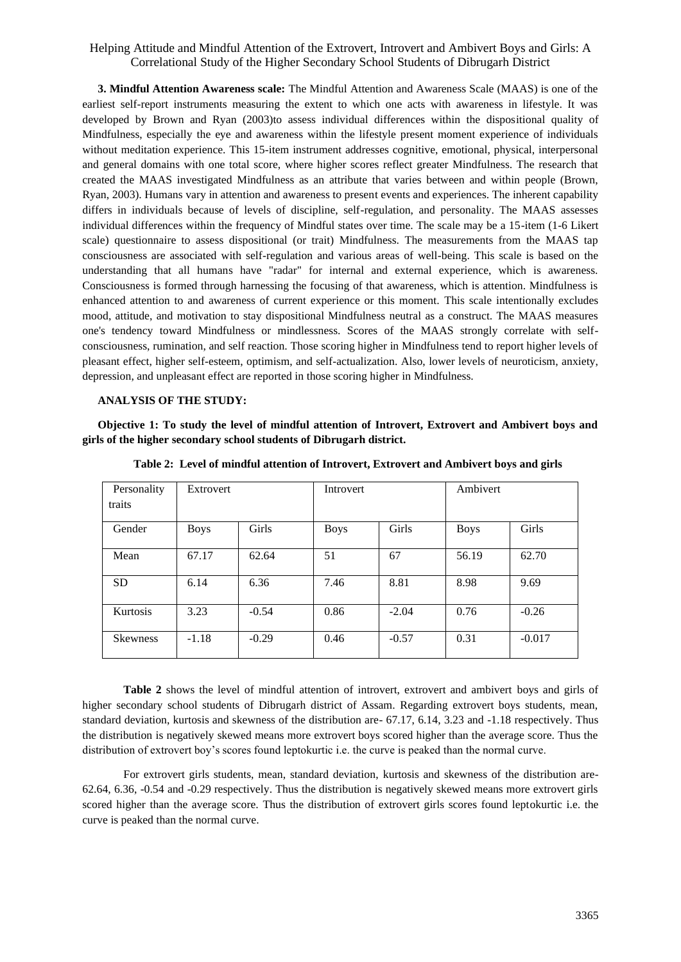**3. Mindful Attention Awareness scale:** The Mindful Attention and Awareness Scale (MAAS) is one of the earliest self-report instruments measuring the extent to which one acts with awareness in lifestyle. It was developed by Brown and Ryan (2003)to assess individual differences within the dispositional quality of Mindfulness, especially the eye and awareness within the lifestyle present moment experience of individuals without meditation experience. This 15-item instrument addresses cognitive, emotional, physical, interpersonal and general domains with one total score, where higher scores reflect greater Mindfulness. The research that created the MAAS investigated Mindfulness as an attribute that varies between and within people (Brown, Ryan, 2003). Humans vary in attention and awareness to present events and experiences. The inherent capability differs in individuals because of levels of discipline, self-regulation, and personality. The MAAS assesses individual differences within the frequency of Mindful states over time. The scale may be a 15-item (1-6 Likert scale) questionnaire to assess dispositional (or trait) Mindfulness. The measurements from the MAAS tap consciousness are associated with self-regulation and various areas of well-being. This scale is based on the understanding that all humans have "radar" for internal and external experience, which is awareness. Consciousness is formed through harnessing the focusing of that awareness, which is attention. Mindfulness is enhanced attention to and awareness of current experience or this moment. This scale intentionally excludes mood, attitude, and motivation to stay dispositional Mindfulness neutral as a construct. The MAAS measures one's tendency toward Mindfulness or mindlessness. Scores of the MAAS strongly correlate with selfconsciousness, rumination, and self reaction. Those scoring higher in Mindfulness tend to report higher levels of pleasant effect, higher self-esteem, optimism, and self-actualization. Also, lower levels of neuroticism, anxiety, depression, and unpleasant effect are reported in those scoring higher in Mindfulness.

#### **ANALYSIS OF THE STUDY:**

**Objective 1: To study the level of mindful attention of Introvert, Extrovert and Ambivert boys and girls of the higher secondary school students of Dibrugarh district.**

| Personality     | Extrovert   |         | Introvert   |         | Ambivert    |          |
|-----------------|-------------|---------|-------------|---------|-------------|----------|
| traits          |             |         |             |         |             |          |
| Gender          | <b>Boys</b> | Girls   | <b>Boys</b> | Girls   | <b>Boys</b> | Girls    |
| Mean            | 67.17       | 62.64   | 51          | 67      | 56.19       | 62.70    |
| <b>SD</b>       | 6.14        | 6.36    | 7.46        | 8.81    | 8.98        | 9.69     |
| <b>Kurtosis</b> | 3.23        | $-0.54$ | 0.86        | $-2.04$ | 0.76        | $-0.26$  |
| <b>Skewness</b> | $-1.18$     | $-0.29$ | 0.46        | $-0.57$ | 0.31        | $-0.017$ |

**Table 2: Level of mindful attention of Introvert, Extrovert and Ambivert boys and girls**

**Table 2** shows the level of mindful attention of introvert, extrovert and ambivert boys and girls of higher secondary school students of Dibrugarh district of Assam. Regarding extrovert boys students, mean, standard deviation, kurtosis and skewness of the distribution are- 67.17, 6.14, 3.23 and -1.18 respectively. Thus the distribution is negatively skewed means more extrovert boys scored higher than the average score. Thus the distribution of extrovert boy's scores found leptokurtic i.e. the curve is peaked than the normal curve.

For extrovert girls students, mean, standard deviation, kurtosis and skewness of the distribution are-62.64, 6.36, -0.54 and -0.29 respectively. Thus the distribution is negatively skewed means more extrovert girls scored higher than the average score. Thus the distribution of extrovert girls scores found leptokurtic i.e. the curve is peaked than the normal curve.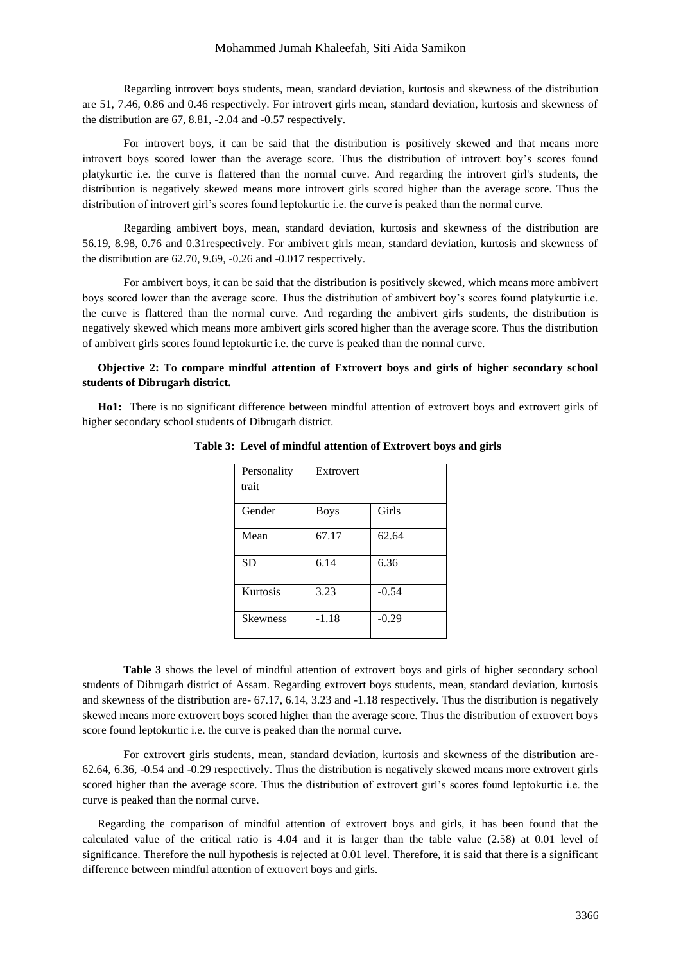#### Mohammed Jumah Khaleefah, Siti Aida Samikon

Regarding introvert boys students, mean, standard deviation, kurtosis and skewness of the distribution are 51, 7.46, 0.86 and 0.46 respectively. For introvert girls mean, standard deviation, kurtosis and skewness of the distribution are 67, 8.81, -2.04 and -0.57 respectively.

For introvert boys, it can be said that the distribution is positively skewed and that means more introvert boys scored lower than the average score. Thus the distribution of introvert boy's scores found platykurtic i.e. the curve is flattered than the normal curve. And regarding the introvert girl's students, the distribution is negatively skewed means more introvert girls scored higher than the average score. Thus the distribution of introvert girl's scores found leptokurtic i.e. the curve is peaked than the normal curve.

Regarding ambivert boys, mean, standard deviation, kurtosis and skewness of the distribution are 56.19, 8.98, 0.76 and 0.31respectively. For ambivert girls mean, standard deviation, kurtosis and skewness of the distribution are 62.70, 9.69, -0.26 and -0.017 respectively.

For ambivert boys, it can be said that the distribution is positively skewed, which means more ambivert boys scored lower than the average score. Thus the distribution of ambivert boy's scores found platykurtic i.e. the curve is flattered than the normal curve. And regarding the ambivert girls students, the distribution is negatively skewed which means more ambivert girls scored higher than the average score. Thus the distribution of ambivert girls scores found leptokurtic i.e. the curve is peaked than the normal curve.

# **Objective 2: To compare mindful attention of Extrovert boys and girls of higher secondary school students of Dibrugarh district.**

**Ho1:** There is no significant difference between mindful attention of extrovert boys and extrovert girls of higher secondary school students of Dibrugarh district.

| Personality<br>trait | Extrovert   |         |
|----------------------|-------------|---------|
| Gender               | <b>Boys</b> | Girls   |
| Mean                 | 67.17       | 62.64   |
| <b>SD</b>            | 6.14        | 6.36    |
| Kurtosis             | 3.23        | $-0.54$ |
| <b>Skewness</b>      | $-1.18$     | $-0.29$ |

**Table 3: Level of mindful attention of Extrovert boys and girls**

**Table 3** shows the level of mindful attention of extrovert boys and girls of higher secondary school students of Dibrugarh district of Assam. Regarding extrovert boys students, mean, standard deviation, kurtosis and skewness of the distribution are- 67.17, 6.14, 3.23 and -1.18 respectively. Thus the distribution is negatively skewed means more extrovert boys scored higher than the average score. Thus the distribution of extrovert boys score found leptokurtic i.e. the curve is peaked than the normal curve.

For extrovert girls students, mean, standard deviation, kurtosis and skewness of the distribution are-62.64, 6.36, -0.54 and -0.29 respectively. Thus the distribution is negatively skewed means more extrovert girls scored higher than the average score. Thus the distribution of extrovert girl's scores found leptokurtic i.e. the curve is peaked than the normal curve.

Regarding the comparison of mindful attention of extrovert boys and girls, it has been found that the calculated value of the critical ratio is 4.04 and it is larger than the table value (2.58) at 0.01 level of significance. Therefore the null hypothesis is rejected at 0.01 level. Therefore, it is said that there is a significant difference between mindful attention of extrovert boys and girls.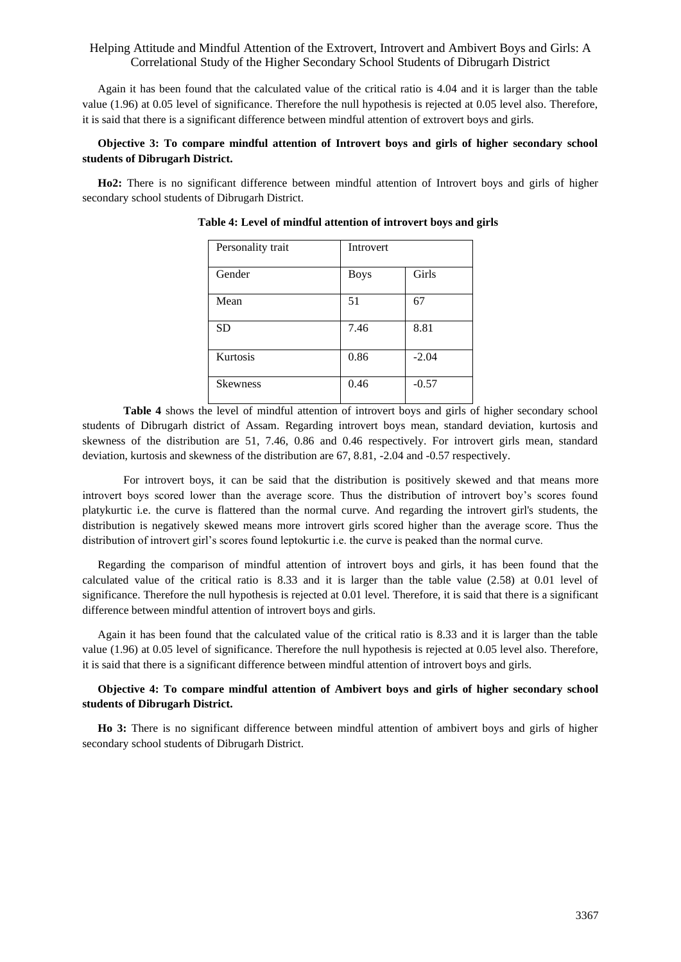Again it has been found that the calculated value of the critical ratio is 4.04 and it is larger than the table value (1.96) at 0.05 level of significance. Therefore the null hypothesis is rejected at 0.05 level also. Therefore, it is said that there is a significant difference between mindful attention of extrovert boys and girls.

# **Objective 3: To compare mindful attention of Introvert boys and girls of higher secondary school students of Dibrugarh District.**

**Ho2:** There is no significant difference between mindful attention of Introvert boys and girls of higher secondary school students of Dibrugarh District.

| Personality trait | Introvert   |         |
|-------------------|-------------|---------|
| Gender            | <b>Boys</b> | Girls   |
| Mean              | 51          | 67      |
| <b>SD</b>         | 7.46        | 8.81    |
| Kurtosis          | 0.86        | $-2.04$ |
| <b>Skewness</b>   | 0.46        | $-0.57$ |

**Table 4: Level of mindful attention of introvert boys and girls**

**Table 4** shows the level of mindful attention of introvert boys and girls of higher secondary school students of Dibrugarh district of Assam. Regarding introvert boys mean, standard deviation, kurtosis and skewness of the distribution are 51, 7.46, 0.86 and 0.46 respectively. For introvert girls mean, standard deviation, kurtosis and skewness of the distribution are 67, 8.81, -2.04 and -0.57 respectively.

For introvert boys, it can be said that the distribution is positively skewed and that means more introvert boys scored lower than the average score. Thus the distribution of introvert boy's scores found platykurtic i.e. the curve is flattered than the normal curve. And regarding the introvert girl's students, the distribution is negatively skewed means more introvert girls scored higher than the average score. Thus the distribution of introvert girl's scores found leptokurtic i.e. the curve is peaked than the normal curve.

Regarding the comparison of mindful attention of introvert boys and girls, it has been found that the calculated value of the critical ratio is 8.33 and it is larger than the table value (2.58) at 0.01 level of significance. Therefore the null hypothesis is rejected at 0.01 level. Therefore, it is said that there is a significant difference between mindful attention of introvert boys and girls.

Again it has been found that the calculated value of the critical ratio is 8.33 and it is larger than the table value (1.96) at 0.05 level of significance. Therefore the null hypothesis is rejected at 0.05 level also. Therefore, it is said that there is a significant difference between mindful attention of introvert boys and girls.

### **Objective 4: To compare mindful attention of Ambivert boys and girls of higher secondary school students of Dibrugarh District.**

**Ho 3:** There is no significant difference between mindful attention of ambivert boys and girls of higher secondary school students of Dibrugarh District.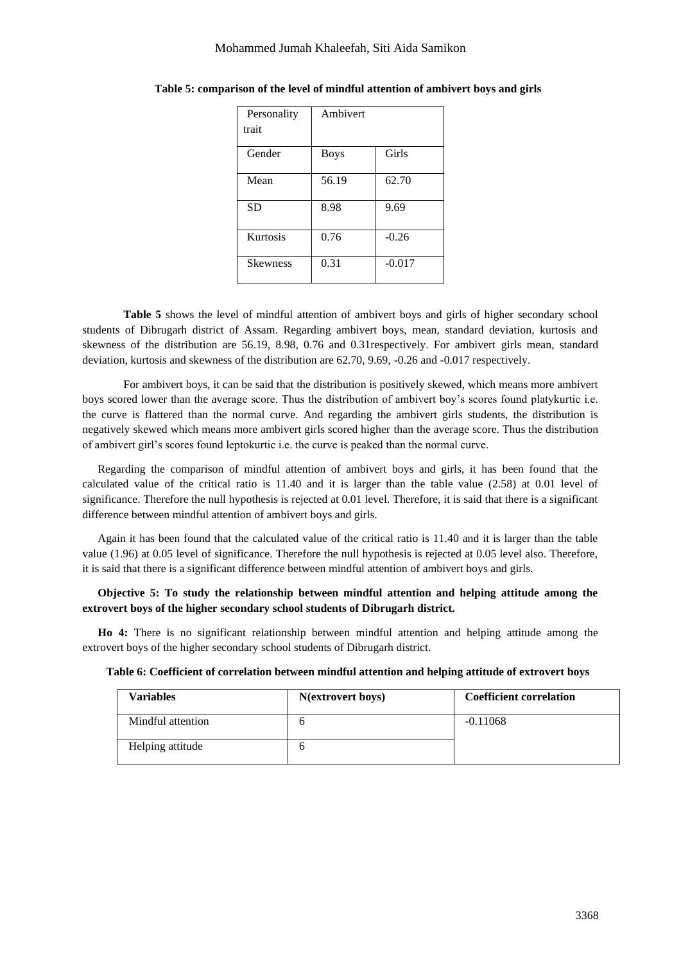#### Mohammed Jumah Khaleefah, Siti Aida Samikon

| Personality     | Ambivert    |          |
|-----------------|-------------|----------|
| trait           |             |          |
| Gender          | <b>Boys</b> | Girls    |
| Mean            | 56.19       | 62.70    |
| <b>SD</b>       | 8.98        | 9.69     |
| Kurtosis        | 0.76        | $-0.26$  |
| <b>Skewness</b> | 0.31        | $-0.017$ |

| Table 5: comparison of the level of mindful attention of ambivert boys and girls |  |  |  |  |  |  |  |  |  |  |  |  |  |  |  |  |  |  |  |  |
|----------------------------------------------------------------------------------|--|--|--|--|--|--|--|--|--|--|--|--|--|--|--|--|--|--|--|--|
|----------------------------------------------------------------------------------|--|--|--|--|--|--|--|--|--|--|--|--|--|--|--|--|--|--|--|--|

**Table 5** shows the level of mindful attention of ambivert boys and girls of higher secondary school students of Dibrugarh district of Assam. Regarding ambivert boys, mean, standard deviation, kurtosis and skewness of the distribution are 56.19, 8.98, 0.76 and 0.31respectively. For ambivert girls mean, standard deviation, kurtosis and skewness of the distribution are 62.70, 9.69, -0.26 and -0.017 respectively.

For ambivert boys, it can be said that the distribution is positively skewed, which means more ambivert boys scored lower than the average score. Thus the distribution of ambivert boy's scores found platykurtic i.e. the curve is flattered than the normal curve. And regarding the ambivert girls students, the distribution is negatively skewed which means more ambivert girls scored higher than the average score. Thus the distribution of ambivert girl's scores found leptokurtic i.e. the curve is peaked than the normal curve.

Regarding the comparison of mindful attention of ambivert boys and girls, it has been found that the calculated value of the critical ratio is 11.40 and it is larger than the table value (2.58) at 0.01 level of significance. Therefore the null hypothesis is rejected at 0.01 level. Therefore, it is said that there is a significant difference between mindful attention of ambivert boys and girls.

Again it has been found that the calculated value of the critical ratio is 11.40 and it is larger than the table value (1.96) at 0.05 level of significance. Therefore the null hypothesis is rejected at 0.05 level also. Therefore, it is said that there is a significant difference between mindful attention of ambivert boys and girls.

# **Objective 5: To study the relationship between mindful attention and helping attitude among the extrovert boys of the higher secondary school students of Dibrugarh district.**

**Ho 4:** There is no significant relationship between mindful attention and helping attitude among the extrovert boys of the higher secondary school students of Dibrugarh district.

| Variables         | N(extrovert boys) | <b>Coefficient correlation</b> |
|-------------------|-------------------|--------------------------------|
| Mindful attention |                   | $-0.11068$                     |
| Helping attitude  |                   |                                |

**Table 6: Coefficient of correlation between mindful attention and helping attitude of extrovert boys**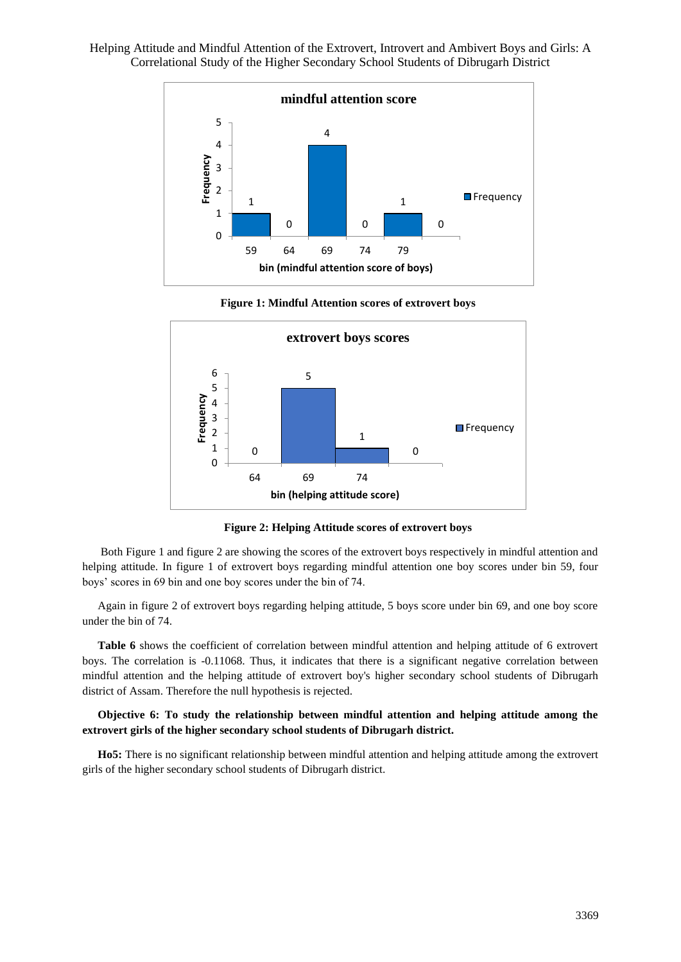

**Figure 1: Mindful Attention scores of extrovert boys**



**Figure 2: Helping Attitude scores of extrovert boys**

Both Figure 1 and figure 2 are showing the scores of the extrovert boys respectively in mindful attention and helping attitude. In figure 1 of extrovert boys regarding mindful attention one boy scores under bin 59, four boys' scores in 69 bin and one boy scores under the bin of 74.

Again in figure 2 of extrovert boys regarding helping attitude, 5 boys score under bin 69, and one boy score under the bin of 74.

**Table 6** shows the coefficient of correlation between mindful attention and helping attitude of 6 extrovert boys. The correlation is -0.11068. Thus, it indicates that there is a significant negative correlation between mindful attention and the helping attitude of extrovert boy's higher secondary school students of Dibrugarh district of Assam. Therefore the null hypothesis is rejected.

## **Objective 6: To study the relationship between mindful attention and helping attitude among the extrovert girls of the higher secondary school students of Dibrugarh district.**

**Ho5:** There is no significant relationship between mindful attention and helping attitude among the extrovert girls of the higher secondary school students of Dibrugarh district.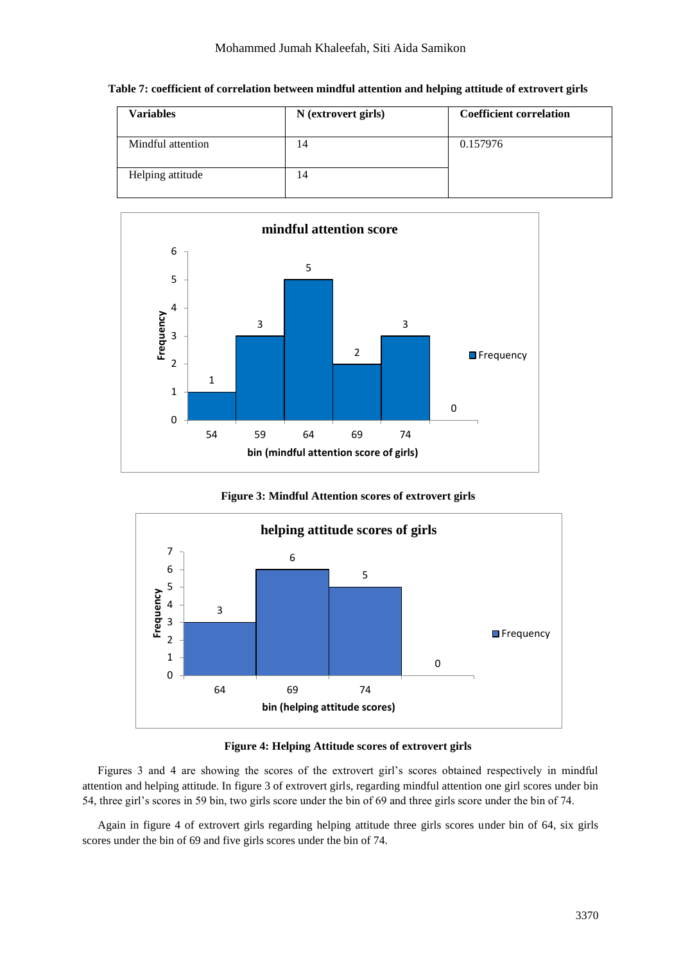| Variables         | N (extrovert girls) | <b>Coefficient correlation</b> |
|-------------------|---------------------|--------------------------------|
| Mindful attention | 14                  | 0.157976                       |
| Helping attitude  | 14                  |                                |





**Figure 3: Mindful Attention scores of extrovert girls**



**Figure 4: Helping Attitude scores of extrovert girls**

Figures 3 and 4 are showing the scores of the extrovert girl's scores obtained respectively in mindful attention and helping attitude. In figure 3 of extrovert girls, regarding mindful attention one girl scores under bin 54, three girl's scores in 59 bin, two girls score under the bin of 69 and three girls score under the bin of 74.

Again in figure 4 of extrovert girls regarding helping attitude three girls scores under bin of 64, six girls scores under the bin of 69 and five girls scores under the bin of 74.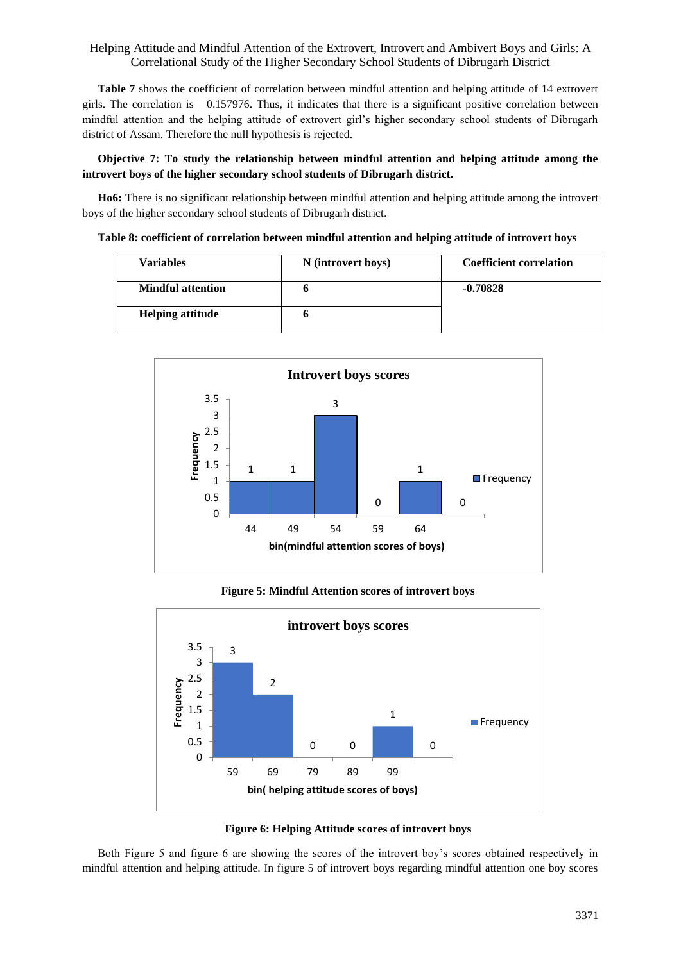**Table 7** shows the coefficient of correlation between mindful attention and helping attitude of 14 extrovert girls. The correlation is 0.157976. Thus, it indicates that there is a significant positive correlation between mindful attention and the helping attitude of extrovert girl's higher secondary school students of Dibrugarh district of Assam. Therefore the null hypothesis is rejected.

## **Objective 7: To study the relationship between mindful attention and helping attitude among the introvert boys of the higher secondary school students of Dibrugarh district.**

**Ho6:** There is no significant relationship between mindful attention and helping attitude among the introvert boys of the higher secondary school students of Dibrugarh district.

|  | Table 8: coefficient of correlation between mindful attention and helping attitude of introvert boys |  |  |  |
|--|------------------------------------------------------------------------------------------------------|--|--|--|
|--|------------------------------------------------------------------------------------------------------|--|--|--|

| <b>Variables</b>         | N (introvert boys) | <b>Coefficient correlation</b> |
|--------------------------|--------------------|--------------------------------|
| <b>Mindful attention</b> |                    | $-0.70828$                     |
| <b>Helping attitude</b>  |                    |                                |



# **Figure 5: Mindful Attention scores of introvert boys**





Both Figure 5 and figure 6 are showing the scores of the introvert boy's scores obtained respectively in mindful attention and helping attitude. In figure 5 of introvert boys regarding mindful attention one boy scores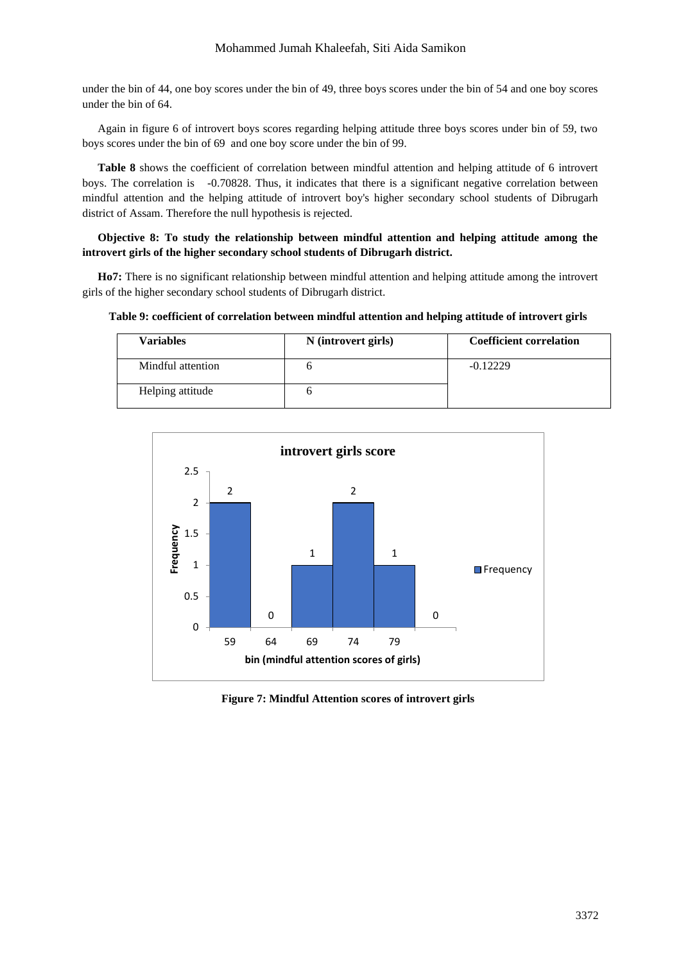## Mohammed Jumah Khaleefah, Siti Aida Samikon

under the bin of 44, one boy scores under the bin of 49, three boys scores under the bin of 54 and one boy scores under the bin of 64.

Again in figure 6 of introvert boys scores regarding helping attitude three boys scores under bin of 59, two boys scores under the bin of 69 and one boy score under the bin of 99.

**Table 8** shows the coefficient of correlation between mindful attention and helping attitude of 6 introvert boys. The correlation is -0.70828. Thus, it indicates that there is a significant negative correlation between mindful attention and the helping attitude of introvert boy's higher secondary school students of Dibrugarh district of Assam. Therefore the null hypothesis is rejected.

# **Objective 8: To study the relationship between mindful attention and helping attitude among the introvert girls of the higher secondary school students of Dibrugarh district.**

**Ho7:** There is no significant relationship between mindful attention and helping attitude among the introvert girls of the higher secondary school students of Dibrugarh district.

**Table 9: coefficient of correlation between mindful attention and helping attitude of introvert girls**

| <b>Variables</b>  | N (introvert girls) | <b>Coefficient correlation</b> |
|-------------------|---------------------|--------------------------------|
| Mindful attention |                     | $-0.12229$                     |
| Helping attitude  |                     |                                |



**Figure 7: Mindful Attention scores of introvert girls**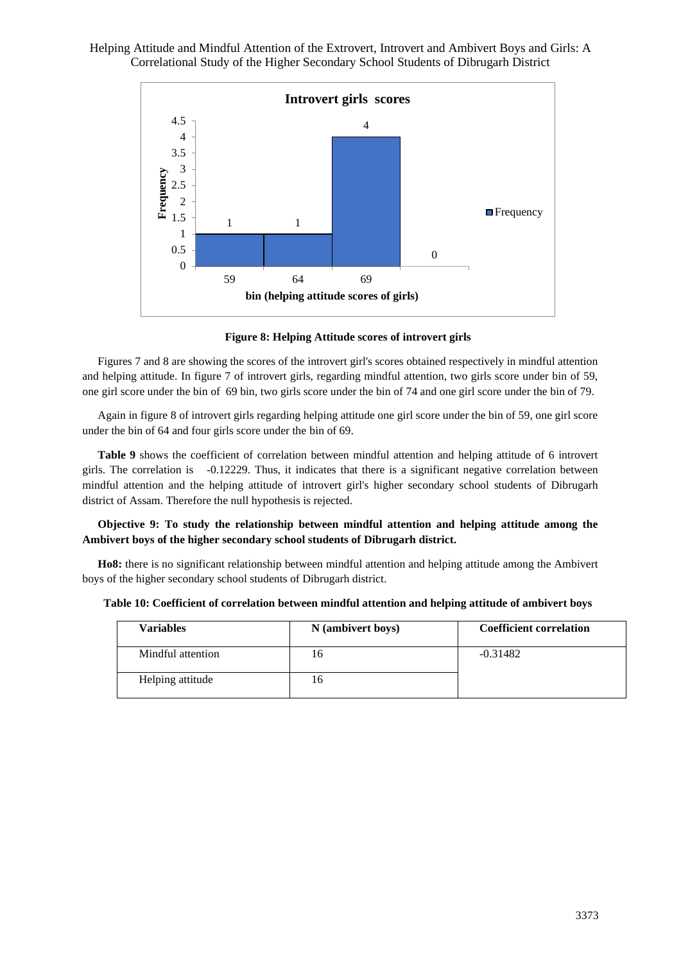

**Figure 8: Helping Attitude scores of introvert girls**

Figures 7 and 8 are showing the scores of the introvert girl's scores obtained respectively in mindful attention and helping attitude. In figure 7 of introvert girls, regarding mindful attention, two girls score under bin of 59, one girl score under the bin of 69 bin, two girls score under the bin of 74 and one girl score under the bin of 79.

Again in figure 8 of introvert girls regarding helping attitude one girl score under the bin of 59, one girl score under the bin of 64 and four girls score under the bin of 69.

**Table 9** shows the coefficient of correlation between mindful attention and helping attitude of 6 introvert girls. The correlation is -0.12229. Thus, it indicates that there is a significant negative correlation between mindful attention and the helping attitude of introvert girl's higher secondary school students of Dibrugarh district of Assam. Therefore the null hypothesis is rejected.

**Objective 9: To study the relationship between mindful attention and helping attitude among the Ambivert boys of the higher secondary school students of Dibrugarh district.**

**Ho8:** there is no significant relationship between mindful attention and helping attitude among the Ambivert boys of the higher secondary school students of Dibrugarh district.

| Table 10: Coefficient of correlation between mindful attention and helping attitude of ambivert boys |
|------------------------------------------------------------------------------------------------------|
|------------------------------------------------------------------------------------------------------|

| <b>Variables</b>  | N (ambivert boys) | <b>Coefficient correlation</b> |
|-------------------|-------------------|--------------------------------|
| Mindful attention | 16                | $-0.31482$                     |
| Helping attitude  | 16                |                                |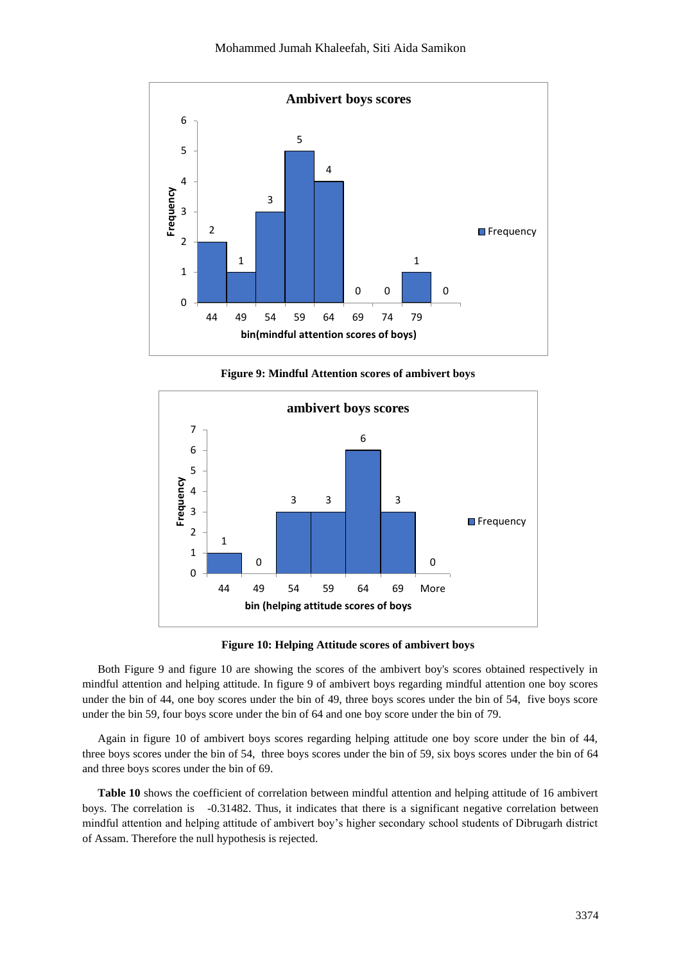

**Figure 9: Mindful Attention scores of ambivert boys**



**Figure 10: Helping Attitude scores of ambivert boys**

Both Figure 9 and figure 10 are showing the scores of the ambivert boy's scores obtained respectively in mindful attention and helping attitude. In figure 9 of ambivert boys regarding mindful attention one boy scores under the bin of 44, one boy scores under the bin of 49, three boys scores under the bin of 54, five boys score under the bin 59, four boys score under the bin of 64 and one boy score under the bin of 79.

Again in figure 10 of ambivert boys scores regarding helping attitude one boy score under the bin of 44, three boys scores under the bin of 54, three boys scores under the bin of 59, six boys scores under the bin of 64 and three boys scores under the bin of 69.

**Table 10** shows the coefficient of correlation between mindful attention and helping attitude of 16 ambivert boys. The correlation is -0.31482. Thus, it indicates that there is a significant negative correlation between mindful attention and helping attitude of ambivert boy's higher secondary school students of Dibrugarh district of Assam. Therefore the null hypothesis is rejected.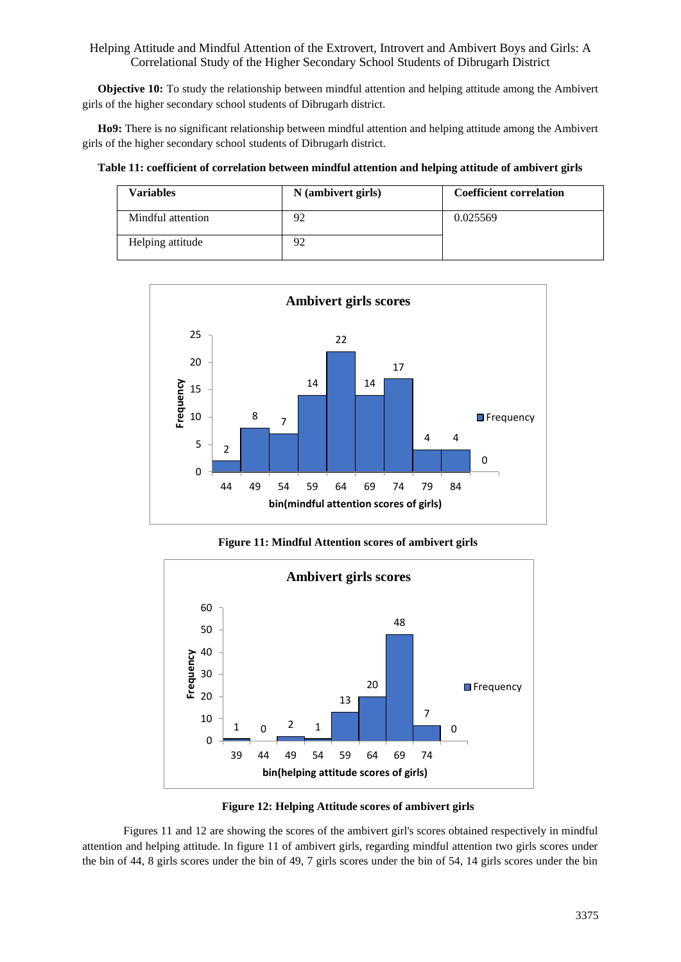**Objective 10:** To study the relationship between mindful attention and helping attitude among the Ambivert girls of the higher secondary school students of Dibrugarh district.

**Ho9:** There is no significant relationship between mindful attention and helping attitude among the Ambivert girls of the higher secondary school students of Dibrugarh district.

**Table 11: coefficient of correlation between mindful attention and helping attitude of ambivert girls**

| <b>Variables</b>  | N (ambivert girls) | <b>Coefficient correlation</b> |
|-------------------|--------------------|--------------------------------|
| Mindful attention | 92                 | 0.025569                       |
| Helping attitude  | 92                 |                                |



**Figure 11: Mindful Attention scores of ambivert girls**



**Figure 12: Helping Attitude scores of ambivert girls**

Figures 11 and 12 are showing the scores of the ambivert girl's scores obtained respectively in mindful attention and helping attitude. In figure 11 of ambivert girls, regarding mindful attention two girls scores under the bin of 44, 8 girls scores under the bin of 49, 7 girls scores under the bin of 54, 14 girls scores under the bin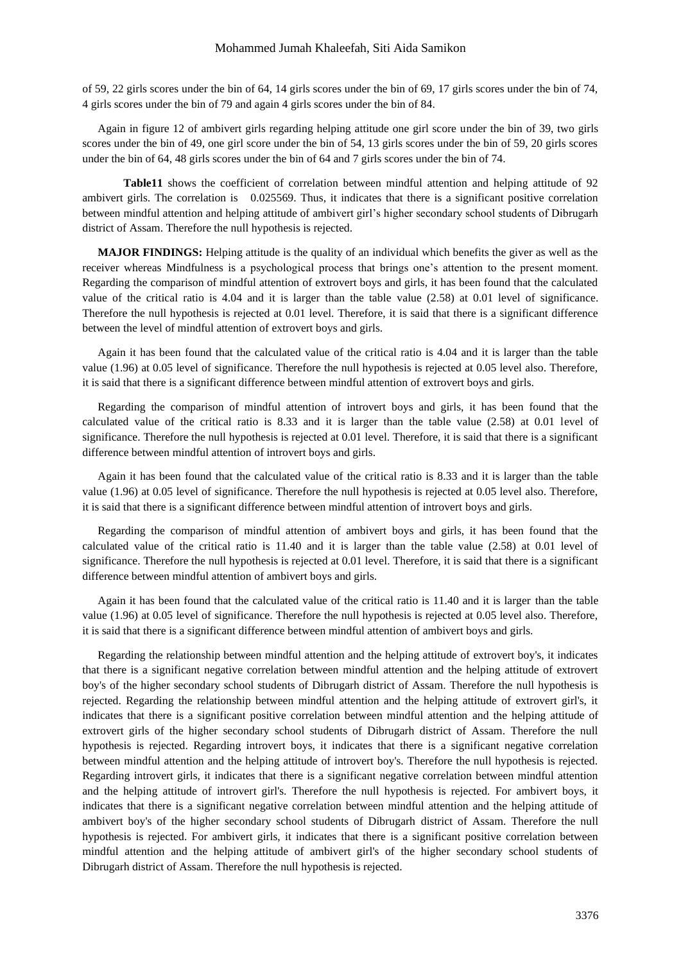of 59, 22 girls scores under the bin of 64, 14 girls scores under the bin of 69, 17 girls scores under the bin of 74, 4 girls scores under the bin of 79 and again 4 girls scores under the bin of 84.

Again in figure 12 of ambivert girls regarding helping attitude one girl score under the bin of 39, two girls scores under the bin of 49, one girl score under the bin of 54, 13 girls scores under the bin of 59, 20 girls scores under the bin of 64, 48 girls scores under the bin of 64 and 7 girls scores under the bin of 74.

**Table11** shows the coefficient of correlation between mindful attention and helping attitude of 92 ambivert girls. The correlation is 0.025569. Thus, it indicates that there is a significant positive correlation between mindful attention and helping attitude of ambivert girl's higher secondary school students of Dibrugarh district of Assam. Therefore the null hypothesis is rejected.

**MAJOR FINDINGS:** Helping attitude is the quality of an individual which benefits the giver as well as the receiver whereas Mindfulness is a psychological process that brings one's attention to the present moment. Regarding the comparison of mindful attention of extrovert boys and girls, it has been found that the calculated value of the critical ratio is 4.04 and it is larger than the table value (2.58) at 0.01 level of significance. Therefore the null hypothesis is rejected at 0.01 level. Therefore, it is said that there is a significant difference between the level of mindful attention of extrovert boys and girls.

Again it has been found that the calculated value of the critical ratio is 4.04 and it is larger than the table value (1.96) at 0.05 level of significance. Therefore the null hypothesis is rejected at 0.05 level also. Therefore, it is said that there is a significant difference between mindful attention of extrovert boys and girls.

Regarding the comparison of mindful attention of introvert boys and girls, it has been found that the calculated value of the critical ratio is 8.33 and it is larger than the table value (2.58) at 0.01 level of significance. Therefore the null hypothesis is rejected at 0.01 level. Therefore, it is said that there is a significant difference between mindful attention of introvert boys and girls.

Again it has been found that the calculated value of the critical ratio is 8.33 and it is larger than the table value (1.96) at 0.05 level of significance. Therefore the null hypothesis is rejected at 0.05 level also. Therefore, it is said that there is a significant difference between mindful attention of introvert boys and girls.

Regarding the comparison of mindful attention of ambivert boys and girls, it has been found that the calculated value of the critical ratio is 11.40 and it is larger than the table value (2.58) at 0.01 level of significance. Therefore the null hypothesis is rejected at 0.01 level. Therefore, it is said that there is a significant difference between mindful attention of ambivert boys and girls.

Again it has been found that the calculated value of the critical ratio is 11.40 and it is larger than the table value (1.96) at 0.05 level of significance. Therefore the null hypothesis is rejected at 0.05 level also. Therefore, it is said that there is a significant difference between mindful attention of ambivert boys and girls.

Regarding the relationship between mindful attention and the helping attitude of extrovert boy's, it indicates that there is a significant negative correlation between mindful attention and the helping attitude of extrovert boy's of the higher secondary school students of Dibrugarh district of Assam. Therefore the null hypothesis is rejected. Regarding the relationship between mindful attention and the helping attitude of extrovert girl's, it indicates that there is a significant positive correlation between mindful attention and the helping attitude of extrovert girls of the higher secondary school students of Dibrugarh district of Assam. Therefore the null hypothesis is rejected. Regarding introvert boys, it indicates that there is a significant negative correlation between mindful attention and the helping attitude of introvert boy's. Therefore the null hypothesis is rejected. Regarding introvert girls, it indicates that there is a significant negative correlation between mindful attention and the helping attitude of introvert girl's. Therefore the null hypothesis is rejected. For ambivert boys, it indicates that there is a significant negative correlation between mindful attention and the helping attitude of ambivert boy's of the higher secondary school students of Dibrugarh district of Assam. Therefore the null hypothesis is rejected. For ambivert girls, it indicates that there is a significant positive correlation between mindful attention and the helping attitude of ambivert girl's of the higher secondary school students of Dibrugarh district of Assam. Therefore the null hypothesis is rejected.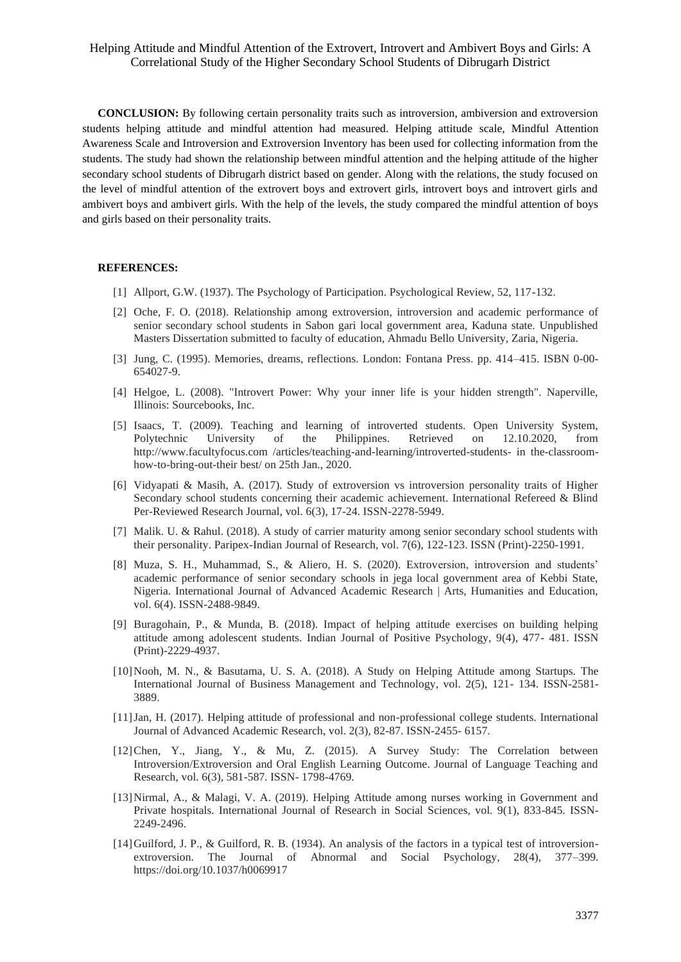**CONCLUSION:** By following certain personality traits such as introversion, ambiversion and extroversion students helping attitude and mindful attention had measured. Helping attitude scale, Mindful Attention Awareness Scale and Introversion and Extroversion Inventory has been used for collecting information from the students. The study had shown the relationship between mindful attention and the helping attitude of the higher secondary school students of Dibrugarh district based on gender. Along with the relations, the study focused on the level of mindful attention of the extrovert boys and extrovert girls, introvert boys and introvert girls and ambivert boys and ambivert girls. With the help of the levels, the study compared the mindful attention of boys and girls based on their personality traits.

#### **REFERENCES:**

- [1] Allport, G.W. (1937). The Psychology of Participation. Psychological Review, 52, 117-132.
- [2] Oche, F. O. (2018). Relationship among extroversion, introversion and academic performance of senior secondary school students in Sabon gari local government area, Kaduna state. Unpublished Masters Dissertation submitted to faculty of education, Ahmadu Bello University, Zaria, Nigeria.
- [3] Jung, C. (1995). Memories, dreams, reflections. London: Fontana Press. pp. 414–415. ISBN 0-00- 654027-9.
- [4] Helgoe, L. (2008). "Introvert Power: Why your inner life is your hidden strength". Naperville, Illinois: Sourcebooks, Inc.
- [5] Isaacs, T. (2009). Teaching and learning of introverted students. Open University System, Polytechnic University of the Philippines. Retrieved on 12.10.2020, from http://www.facultyfocus.com /articles/teaching-and-learning/introverted-students- in the-classroomhow-to-bring-out-their best/ on 25th Jan., 2020.
- [6] Vidyapati & Masih, A. (2017). Study of extroversion vs introversion personality traits of Higher Secondary school students concerning their academic achievement. International Refereed & Blind Per-Reviewed Research Journal, vol. 6(3), 17-24. ISSN-2278-5949.
- [7] Malik. U. & Rahul. (2018). A study of carrier maturity among senior secondary school students with their personality. Paripex-Indian Journal of Research, vol. 7(6), 122-123. ISSN (Print)-2250-1991.
- [8] Muza, S. H., Muhammad, S., & Aliero, H. S. (2020). Extroversion, introversion and students' academic performance of senior secondary schools in jega local government area of Kebbi State, Nigeria. International Journal of Advanced Academic Research | Arts, Humanities and Education, vol. 6(4). ISSN-2488-9849.
- [9] Buragohain, P., & Munda, B. (2018). Impact of helping attitude exercises on building helping attitude among adolescent students. Indian Journal of Positive Psychology, 9(4), 477- 481. ISSN (Print)-2229-4937.
- [10]Nooh, M. N., & Basutama, U. S. A. (2018). A Study on Helping Attitude among Startups. The International Journal of Business Management and Technology, vol. 2(5), 121- 134. ISSN-2581- 3889.
- [11]Jan, H. (2017). Helping attitude of professional and non-professional college students. International Journal of Advanced Academic Research, vol. 2(3), 82-87. ISSN-2455- 6157.
- [12]Chen, Y., Jiang, Y., & Mu, Z. (2015). A Survey Study: The Correlation between Introversion/Extroversion and Oral English Learning Outcome. Journal of Language Teaching and Research, vol. 6(3), 581-587. ISSN- 1798-4769.
- [13]Nirmal, A., & Malagi, V. A. (2019). Helping Attitude among nurses working in Government and Private hospitals. International Journal of Research in Social Sciences, vol. 9(1), 833-845. ISSN-2249-2496.
- [14]Guilford, J. P., & Guilford, R. B. (1934). An analysis of the factors in a typical test of introversionextroversion. The Journal of Abnormal and Social Psychology, 28(4), 377–399. https://doi.org/10.1037/h0069917